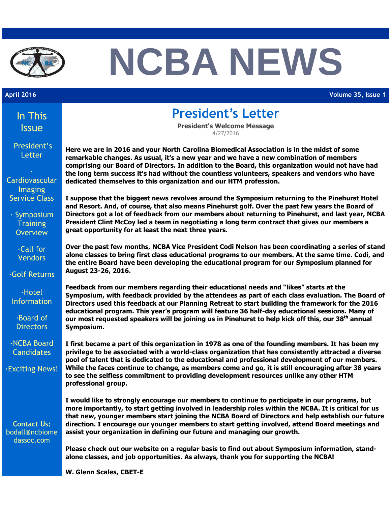

# **NCBA NEWS**

**April 2016 Volume 35, Issue 1**

| In This<br><b>Issue</b>                                 | <b>President's Letter</b><br><b>President's Welcome Message</b>                                                                                                                                                                                                                                                                                                                                                                                                                                                                      |  |
|---------------------------------------------------------|--------------------------------------------------------------------------------------------------------------------------------------------------------------------------------------------------------------------------------------------------------------------------------------------------------------------------------------------------------------------------------------------------------------------------------------------------------------------------------------------------------------------------------------|--|
|                                                         | 4/27/2016                                                                                                                                                                                                                                                                                                                                                                                                                                                                                                                            |  |
| President's<br>Letter                                   | Here we are in 2016 and your North Carolina Biomedical Association is in the midst of some<br>remarkable changes. As usual, it's a new year and we have a new combination of members<br>comprising our Board of Directors. In addition to the Board, this organization would not have had<br>the long term success it's had without the countless volunteers, speakers and vendors who have                                                                                                                                          |  |
| Cardiovascular<br>Imaging                               | dedicated themselves to this organization and our HTM profession.                                                                                                                                                                                                                                                                                                                                                                                                                                                                    |  |
| <b>Service Class</b>                                    | I suppose that the biggest news revolves around the Symposium returning to the Pinehurst Hotel<br>and Resort. And, of course, that also means Pinehurst golf. Over the past few years the Board of                                                                                                                                                                                                                                                                                                                                   |  |
| $\cdot$ Symposium<br><b>Training</b><br><b>Overview</b> | Directors got a lot of feedback from our members about returning to Pinehurst, and last year, NCBA<br>President Clint McCoy led a team in negotiating a long term contract that gives our members a<br>great opportunity for at least the next three years.                                                                                                                                                                                                                                                                          |  |
| $\cdot$ Call for<br><b>Vendors</b>                      | Over the past few months, NCBA Vice President Codi Nelson has been coordinating a series of stand<br>alone classes to bring first class educational programs to our members. At the same time. Codi, and<br>the entire Board have been developing the educational program for our Symposium planned for                                                                                                                                                                                                                              |  |
| <b>Golf Returns</b>                                     | August 23-26, 2016.                                                                                                                                                                                                                                                                                                                                                                                                                                                                                                                  |  |
| $\cdot$ Hotel<br><b>Information</b>                     | Feedback from our members regarding their educational needs and "likes" starts at the<br>Symposium, with feedback provided by the attendees as part of each class evaluation. The Board of<br>Directors used this feedback at our Planning Retreat to start building the framework for the 2016                                                                                                                                                                                                                                      |  |
| ·Board of<br><b>Directors</b>                           | educational program. This year's program will feature 36 half-day educational sessions. Many of<br>our most requested speakers will be joining us in Pinehurst to help kick off this, our 38 <sup>th</sup> annual<br>Symposium.                                                                                                                                                                                                                                                                                                      |  |
| -NCBA Board<br><b>Candidates</b>                        | I first became a part of this organization in 1978 as one of the founding members. It has been my<br>privilege to be associated with a world-class organization that has consistently attracted a diverse<br>pool of talent that is dedicated to the educational and professional development of our members.<br>While the faces continue to change, as members come and go, it is still encouraging after 38 years<br>to see the selfless commitment to providing development resources unlike any other HTM<br>professional group. |  |
| <b>Exciting News!</b>                                   |                                                                                                                                                                                                                                                                                                                                                                                                                                                                                                                                      |  |
| <b>Contact Us:</b><br>bodall@ncbiome<br>dassoc.com      | I would like to strongly encourage our members to continue to participate in our programs, but<br>more importantly, to start getting involved in leadership roles within the NCBA. It is critical for us<br>that new, younger members start joining the NCBA Board of Directors and help establish our future<br>direction. I encourage our younger members to start getting involved, attend Board meetings and<br>assist your organization in defining our future and managing our growth.                                         |  |
|                                                         | Please check out our website on a regular basis to find out about Symposium information, stand-<br>alone classes, and job opportunities. As always, thank you for supporting the NCBA!                                                                                                                                                                                                                                                                                                                                               |  |

**W. Glenn Scales, CBET-E**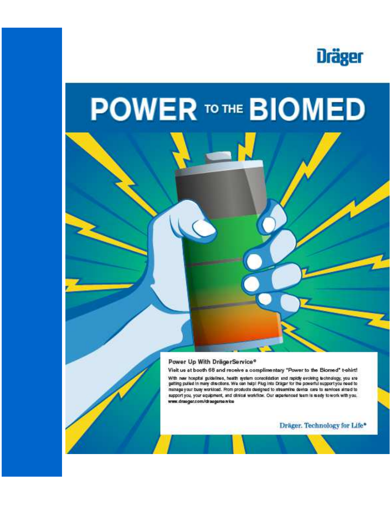

## **POWER TO THE BIOMED**



#### Power Up With DrägerService®

Visit us at booth 68 and receive a complimentary "Power to the Biomed" t-shirt!

With new hospital guidelines, health system consolidation and rapidly evolving technology, you are<br>getting pulsed in many directions. We can help! Plug into Draiger for the powerful support you need to manage your busy workload. From products designed to streamline device care to services almed to support you, your aquipment, and clinical workflow. Our asperienced team is mady to work with you. www.drasger.com/drasgerse.wice

Dräger. Technology for Life\*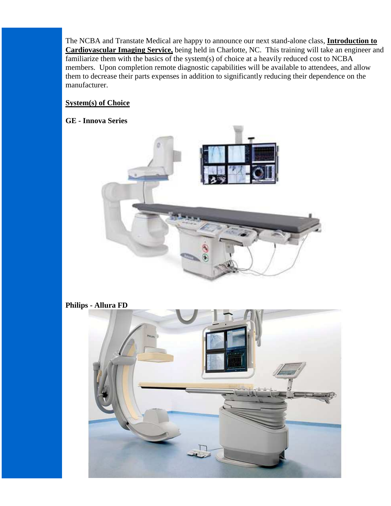The NCBA and Transtate Medical are happy to announce our next stand-alone class, **Introduction to Cardiovascular Imaging Service,** being held in Charlotte, NC. This training will take an engineer and familiarize them with the basics of the system(s) of choice at a heavily reduced cost to NCBA members. Upon completion remote diagnostic capabilities will be available to attendees, and allow them to decrease their parts expenses in addition to significantly reducing their dependence on the manufacturer.

#### **System(s) of Choice**

#### **GE - Innova Series**



**Philips - Allura FD**

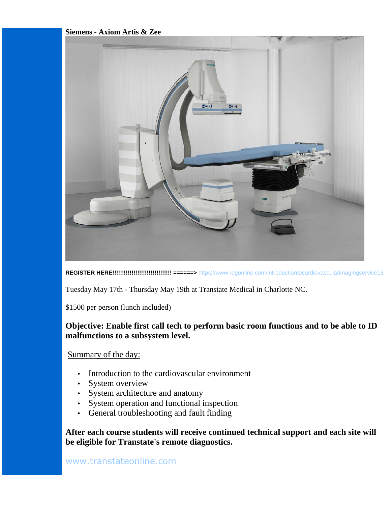#### **Siemens - Axiom Artis & Zee**



**REGISTER HERE!!!!!!!!!!!!!!!!!!!!!!!!!!!!!!! ======>** https://www.regonline.com/introductiontocardiovascularimagingservice16

Tuesday May 17th - Thursday May 19th at Transtate Medical in Charlotte NC.

\$1500 per person (lunch included)

#### **Objective: Enable first call tech to perform basic room functions and to be able to ID malfunctions to a subsystem level.**

#### Summary of the day:

- Introduction to the cardiovascular environment
- System overview
- System architecture and anatomy
- System operation and functional inspection
- General troubleshooting and fault finding

**After each course students will receive continued technical support and each site will be eligible for Transtate's remote diagnostics.**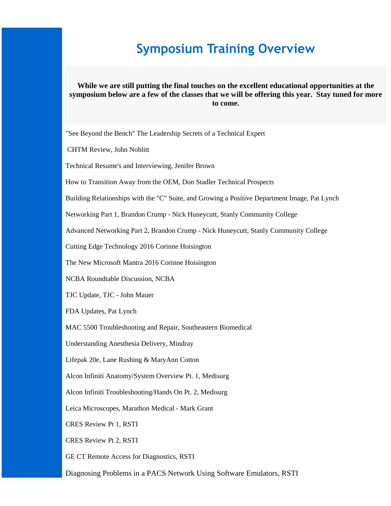## **Symposium Training Overview**

#### **While we are still putting the final touches on the excellent educational opportunities at the symposium below are a few of the classes that we will be offering this year. Stay tuned for more to come.**

"See Beyond the Bench" The Leadership Secrets of a Technical Expert

CHTM Review, John Noblitt

Technical Resume's and Interviewing, Jenifer Brown

How to Transition Away from the OEM, Don Stadler Technical Prospects

Building Relationships with the "C" Suite, and Growing a Positive Department Image, Pat Lynch

Networking Part 1, Brandon Crump - Nick Huneycutt, Stanly Community College

Advanced Networking Part 2, Brandon Crump - Nick Huneycutt, Stanly Community College

Cutting Edge Technology 2016 Corinne Hoisington

The New Microsoft Mantra 2016 Corinne Hoisington

NCBA Roundtable Discussion, NCBA

TJC Update, TJC - John Mauer

FDA Updates, Pat Lynch

MAC 5500 Troubleshooting and Repair, Southeastern Biomedical

Understanding Anesthesia Delivery, Mindray

Lifepak 20e, Lane Rushing & MaryAnn Cotton

Alcon Infiniti Anatomy/System Overview Pt. 1, Medisurg

Alcon Infiniti Troubleshooting/Hands On Pt. 2, Medisurg

Leica Microscopes, Marathon Medical - Mark Grant

CRES Review Pt 1, RSTI

CRES Review Pt 2, RSTI

GE CT Remote Access for Diagnostics, RSTI

Diagnosing Problems in a PACS Network Using Software Emulators, RSTI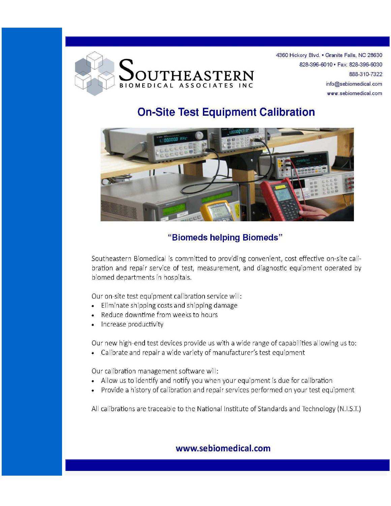

4360 Hickory Blvd. . Granite Falls, NC 28630 828-396-6010 · Fax: 828-396-6030 888-310-7322 info@sebiomedical.com www.sebiomedical.com

### **On-Site Test Equipment Calibration**



#### "Biomeds helping Biomeds"

Southeastern Biomedical is committed to providing convenient, cost effective on-site calibration and repair service of test, measurement, and diagnostic equipment operated by biomed departments in hospitals.

Our on-site test equipment calibration service will:

- Eliminate shipping costs and shipping damage
- Reduce downtime from weeks to hours  $\bullet$
- Increase productivity  $\bullet$

Our new high-end test devices provide us with a wide range of capabilities allowing us to:

Calibrate and repair a wide variety of manufacturer's test equipment  $\bullet$ 

Our calibration management software will:

- Allow us to identify and notify you when your equipment is due for calibration
- Provide a history of calibration and repair services performed on your test equipment  $\bullet$

All calibrations are traceable to the National Institute of Standards and Technology (N.I.S.T.)

#### www.sebiomedical.com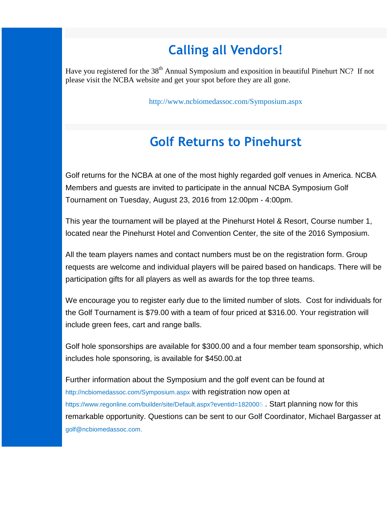## **Calling all Vendors!**

Have you registered for the 38<sup>th</sup> Annual Symposium and exposition in beautiful Pinehurt NC? If not please visit the NCBA website and get your spot before they are all gone.

http://www.ncbiomedassoc.com/Symposium.aspx

## **Golf Returns to Pinehurst**

Golf returns for the NCBA at one of the most highly regarded golf venues in America. NCBA Members and guests are invited to participate in the annual NCBA Symposium Golf Tournament on Tuesday, August 23, 2016 from 12:00pm - 4:00pm.

This year the tournament will be played at the Pinehurst Hotel & Resort, Course number 1, located near the Pinehurst Hotel and Convention Center, the site of the 2016 Symposium.

All the team players names and contact numbers must be on the registration form. Group requests are welcome and individual players will be paired based on handicaps. There will be participation gifts for all players as well as awards for the top three teams.

We encourage you to register early due to the limited number of slots. Cost for individuals for the Golf Tournament is \$79.00 with a team of four priced at \$316.00. Your registration will include green fees, cart and range balls.

Golf hole sponsorships are available for \$300.00 and a four member team sponsorship, which includes hole sponsoring, is available for \$450.00.at

Further information about the Symposium and the golf event can be found at http://ncbiomedassoc.com/Symposium.aspx with registration now open at https://www.regonline.com/builder/site/Default.aspx?eventid=1820005 . Start planning now for this remarkable opportunity. Questions can be sent to our Golf Coordinator, Michael Bargasser at golf@ncbiomedassoc.com.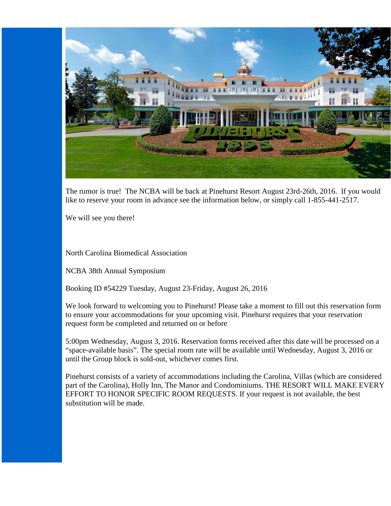

The rumor is true! The NCBA will be back at Pinehurst Resort August 23rd-26th, 2016. If you would like to reserve your room in advance see the information below, or simply call 1-855-441-2517.

We will see you there!

North Carolina Biomedical Association

NCBA 38th Annual Symposium

Booking ID #54229 Tuesday, August 23-Friday, August 26, 2016

We look forward to welcoming you to Pinehurst! Please take a moment to fill out this reservation form to ensure your accommodations for your upcoming visit. Pinehurst requires that your reservation request form be completed and returned on or before

5:00pm Wednesday, August 3, 2016. Reservation forms received after this date will be processed on a "space-available basis". The special room rate will be available until Wednesday, August 3, 2016 or until the Group block is sold-out, whichever comes first.

Pinehurst consists of a variety of accommodations including the Carolina, Villas (which are considered part of the Carolina), Holly Inn, The Manor and Condominiums. THE RESORT WILL MAKE EVERY EFFORT TO HONOR SPECIFIC ROOM REQUESTS. If your request is not available, the best substitution will be made.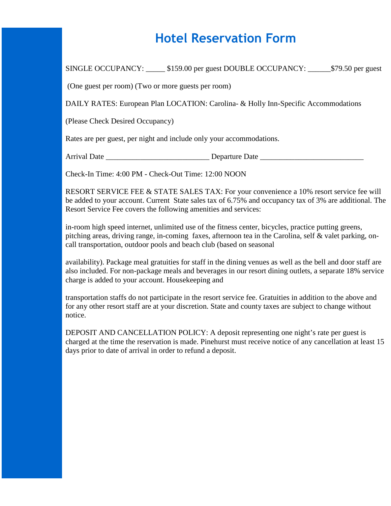## **Hotel Reservation Form**

SINGLE OCCUPANCY: \_\_\_\_\_ \$159.00 per guest DOUBLE OCCUPANCY: \_\_\_\_\_\_\$79.50 per guest

(One guest per room) (Two or more guests per room)

DAILY RATES: European Plan LOCATION: Carolina- & Holly Inn-Specific Accommodations

(Please Check Desired Occupancy)

Rates are per guest, per night and include only your accommodations.

Arrival Date \_\_\_\_\_\_\_\_\_\_\_\_\_\_\_\_\_\_\_\_\_\_\_\_\_\_\_ Departure Date \_\_\_\_\_\_\_\_\_\_\_\_\_\_\_\_\_\_\_\_\_\_\_\_\_\_\_

Check-In Time: 4:00 PM - Check-Out Time: 12:00 NOON

RESORT SERVICE FEE & STATE SALES TAX: For your convenience a 10% resort service fee will be added to your account. Current State sales tax of 6.75% and occupancy tax of 3% are additional. The Resort Service Fee covers the following amenities and services:

in-room high speed internet, unlimited use of the fitness center, bicycles, practice putting greens, pitching areas, driving range, in-coming faxes, afternoon tea in the Carolina, self & valet parking, oncall transportation, outdoor pools and beach club (based on seasonal

availability). Package meal gratuities for staff in the dining venues as well as the bell and door staff are also included. For non-package meals and beverages in our resort dining outlets, a separate 18% service charge is added to your account. Housekeeping and

transportation staffs do not participate in the resort service fee. Gratuities in addition to the above and for any other resort staff are at your discretion. State and county taxes are subject to change without notice.

DEPOSIT AND CANCELLATION POLICY: A deposit representing one night's rate per guest is charged at the time the reservation is made. Pinehurst must receive notice of any cancellation at least 15 days prior to date of arrival in order to refund a deposit.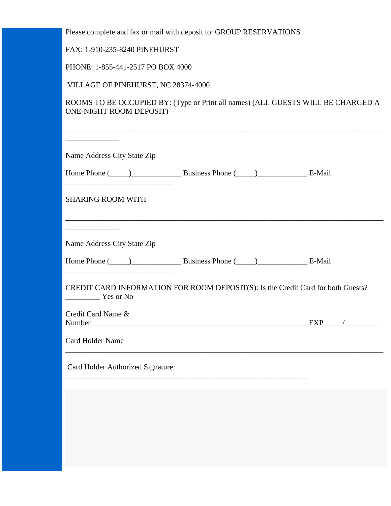Please complete and fax or mail with deposit to: GROUP RESERVATIONS

FAX: 1-910-235-8240 PINEHURST

PHONE: 1-855-441-2517 PO BOX 4000

VILLAGE OF PINEHURST, NC 28374-4000

ROOMS TO BE OCCUPIED BY: (Type or Print all names) (ALL GUESTS WILL BE CHARGED A ONE-NIGHT ROOM DEPOSIT)

| Name Address City State Zip                                            |                                                                                                                                                                                                                                |  |
|------------------------------------------------------------------------|--------------------------------------------------------------------------------------------------------------------------------------------------------------------------------------------------------------------------------|--|
|                                                                        | Home Phone (Comparison business Phone (Comparison business Phone (Comparison business Phone (Comparison business Phone (Comparison business Phone Comparison business Phone Comparison business Phone Comparison business Phon |  |
| <b>SHARING ROOM WITH</b>                                               |                                                                                                                                                                                                                                |  |
| <u> 1990 - Johann Barbara, martin a</u><br>Name Address City State Zip |                                                                                                                                                                                                                                |  |
|                                                                        | Home Phone (Changel 2014) Business Phone (Changel 2014) Business Phone (Changel 2014) Business Phone (Changel 2014)                                                                                                            |  |
| Yes or No                                                              | CREDIT CARD INFORMATION FOR ROOM DEPOSIT(S): Is the Credit Card for both Guests?                                                                                                                                               |  |
| Credit Card Name &                                                     |                                                                                                                                                                                                                                |  |
| Card Holder Name                                                       |                                                                                                                                                                                                                                |  |
| Card Holder Authorized Signature:                                      |                                                                                                                                                                                                                                |  |
|                                                                        |                                                                                                                                                                                                                                |  |